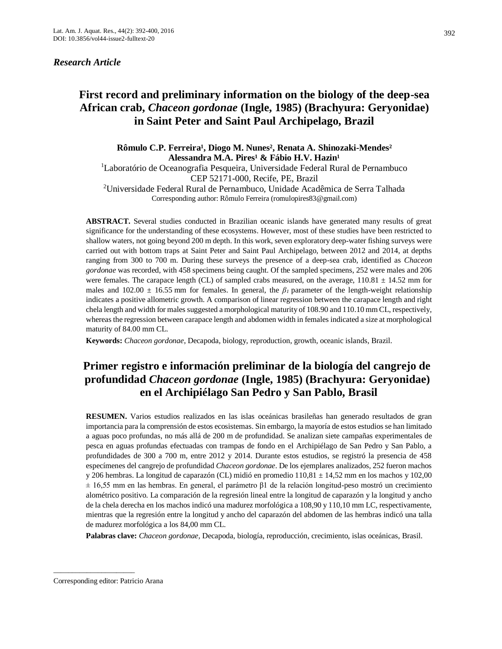## *Research Article*

# **First record and preliminary information on the biology of the deep-sea African crab,** *Chaceon gordonae* **(Ingle, 1985) (Brachyura: Geryonidae) in Saint Peter and Saint Paul Archipelago, Brazil**

Rômulo C.P. Ferreira<sup>1</sup>, Diogo M. Nunes<sup>2</sup>, Renata A. Shinozaki-Mendes<sup>2</sup> Alessandra M.A. Pires<sup>1</sup> & Fábio H.V. Hazin<sup>1</sup>

<sup>1</sup>Laboratório de Oceanografia Pesqueira, Universidade Federal Rural de Pernambuco CEP 52171-000, Recife, PE, Brazil

<sup>2</sup>Universidade Federal Rural de Pernambuco, Unidade Acadêmica de Serra Talhada Corresponding author: Rômulo Ferreira (romulopires83@gmail.com)

**ABSTRACT.** Several studies conducted in Brazilian oceanic islands have generated many results of great significance for the understanding of these ecosystems. However, most of these studies have been restricted to shallow waters, not going beyond 200 m depth. In this work, seven exploratory deep-water fishing surveys were carried out with bottom traps at Saint Peter and Saint Paul Archipelago, between 2012 and 2014, at depths ranging from 300 to 700 m. During these surveys the presence of a deep-sea crab, identified as *Chaceon gordonae* was recorded, with 458 specimens being caught. Of the sampled specimens, 252 were males and 206 were females. The carapace length (CL) of sampled crabs measured, on the average,  $110.81 \pm 14.52$  mm for males and 102.00 ± 16.55 mm for females. In general, the *β1* parameter of the length-weight relationship indicates a positive allometric growth. A comparison of linear regression between the carapace length and right chela length and width for males suggested a morphological maturity of 108.90 and 110.10 mm CL, respectively, whereas the regression between carapace length and abdomen width in females indicated a size at morphological maturity of 84.00 mm CL.

**Keywords:** *Chaceon gordonae*, Decapoda, biology, reproduction, growth, oceanic islands, Brazil.

# **Primer registro e información preliminar de la biología del cangrejo de profundidad** *Chaceon gordonae* **(Ingle, 1985) (Brachyura: Geryonidae) en el Archipiélago San Pedro y San Pablo, Brasil**

**RESUMEN.** Varios estudios realizados en las islas oceánicas brasileñas han generado resultados de gran importancia para la comprensión de estos ecosistemas. Sin embargo, la mayoría de estos estudios se han limitado a aguas poco profundas, no más allá de 200 m de profundidad. Se analizan siete campañas experimentales de pesca en aguas profundas efectuadas con trampas de fondo en el Archipiélago de San Pedro y San Pablo, a profundidades de 300 a 700 m, entre 2012 y 2014. Durante estos estudios, se registró la presencia de 458 especímenes del cangrejo de profundidad *Chaceon gordonae*. De los ejemplares analizados, 252 fueron machos y 206 hembras. La longitud de caparazón (CL) midió en promedio 110,81 ± 14,52 mm en los machos y 102,00  $\pm$  16,55 mm en las hembras. En general, el parámetro  $\beta$ 1 de la relación longitud-peso mostró un crecimiento alométrico positivo. La comparación de la regresión lineal entre la longitud de caparazón y la longitud y ancho de la chela derecha en los machos indicó una madurez morfológica a 108,90 y 110,10 mm LC, respectivamente, mientras que la regresión entre la longitud y ancho del caparazón del abdomen de las hembras indicó una talla de madurez morfológica a los 84,00 mm CL.

**Palabras clave:** *Chaceon gordonae,* Decapoda, biología, reproducción, crecimiento, islas oceánicas, Brasil.

\_\_\_\_\_\_\_\_\_\_\_\_\_\_\_\_\_\_\_\_\_\_

Corresponding editor: Patricio Arana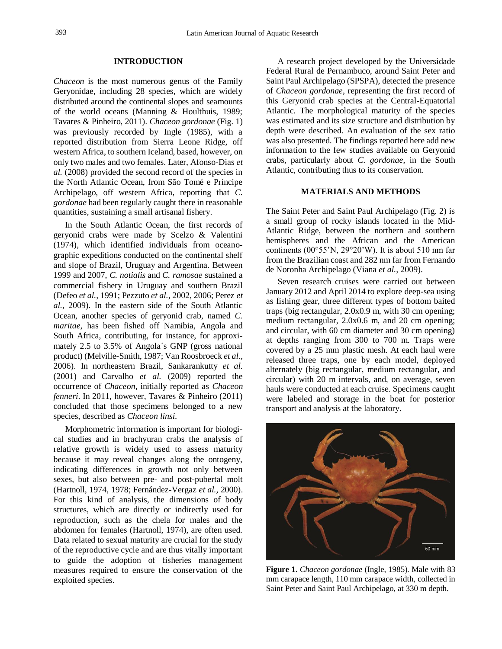## **INTRODUCTION**

*Chaceon* is the most numerous genus of the Family Geryonidae, including 28 species, which are widely distributed around the continental slopes and seamounts of the world oceans (Manning & Houlthuis, 1989; Tavares & Pinheiro, 2011). *Chaceon gordonae* (Fig. 1) was previously recorded by Ingle (1985), with a reported distribution from Sierra Leone Ridge, off western Africa, to southern Iceland, based, however, on only two males and two females. Later, Afonso-Dias *et al.* (2008) provided the second record of the species in the North Atlantic Ocean, from São Tomé e Príncipe Archipelago, off western Africa, reporting that *C. gordonae* had been regularly caught there in reasonable quantities, sustaining a small artisanal fishery.

In the South Atlantic Ocean, the first records of geryonid crabs were made by Scelzo & Valentini (1974), which identified individuals from oceanographic expeditions conducted on the continental shelf and slope of Brazil, Uruguay and Argentina. Between 1999 and 2007, *C. notialis* and *C. ramosae* sustained a commercial fishery in Uruguay and southern Brazil (Defeo *et al.,* 1991; Pezzuto *et al.,* 2002, 2006; Perez *et al.,* 2009). In the eastern side of the South Atlantic Ocean, another species of geryonid crab, named *C. maritae,* has been fished off Namibia, Angola and South Africa, contributing, for instance, for approximately 2.5 to 3.5% of Angola´s GNP (gross national product) (Melville-Smith, 1987; Van Roosbroeck *et al.,*  2006). In northeastern Brazil, Sankarankutty *et al.* (2001) and Carvalho *et al.* (2009) reported the occurrence of *Chaceon,* initially reported as *Chaceon fenneri*. In 2011, however, Tavares & Pinheiro (2011) concluded that those specimens belonged to a new species, described as *Chaceon linsi*.

Morphometric information is important for biological studies and in brachyuran crabs the analysis of relative growth is widely used to assess maturity because it may reveal changes along the ontogeny, indicating differences in growth not only between sexes, but also between pre- and post-pubertal molt (Hartnoll, 1974, 1978; Fernández-Vergaz *et al.,* 2000). For this kind of analysis, the dimensions of body structures, which are directly or indirectly used for reproduction, such as the chela for males and the abdomen for females (Hartnoll, 1974), are often used. Data related to sexual maturity are crucial for the study of the reproductive cycle and are thus vitally important to guide the adoption of fisheries management measures required to ensure the conservation of the exploited species.

A research project developed by the Universidade Federal Rural de Pernambuco, around Saint Peter and Saint Paul Archipelago (SPSPA), detected the presence of *Chaceon gordonae*, representing the first record of this Geryonid crab species at the Central-Equatorial Atlantic. The morphological maturity of the species was estimated and its size structure and distribution by depth were described. An evaluation of the sex ratio was also presented. The findings reported here add new information to the few studies available on Geryonid crabs, particularly about *C. gordonae*, in the South Atlantic, contributing thus to its conservation.

## **MATERIALS AND METHODS**

The Saint Peter and Saint Paul Archipelago (Fig. 2) is a small group of rocky islands located in the Mid-Atlantic Ridge, between the northern and southern hemispheres and the African and the American continents (00°55'N, 29°20'W). It is about 510 nm far from the Brazilian coast and 282 nm far from Fernando de Noronha Archipelago (Viana *et al.,* 2009).

Seven research cruises were carried out between January 2012 and April 2014 to explore deep-sea using as fishing gear, three different types of bottom baited traps (big rectangular, 2.0x0.9 m, with 30 cm opening; medium rectangular, 2.0x0.6 m, and 20 cm opening; and circular, with 60 cm diameter and 30 cm opening) at depths ranging from 300 to 700 m. Traps were covered by a 25 mm plastic mesh. At each haul were released three traps, one by each model, deployed alternately (big rectangular, medium rectangular, and circular) with 20 m intervals, and, on average, seven hauls were conducted at each cruise. Specimens caught were labeled and storage in the boat for posterior transport and analysis at the laboratory.



**Figure 1.** *Chaceon gordonae* (Ingle, 1985). Male with 83 mm carapace length, 110 mm carapace width, collected in Saint Peter and Saint Paul Archipelago, at 330 m depth.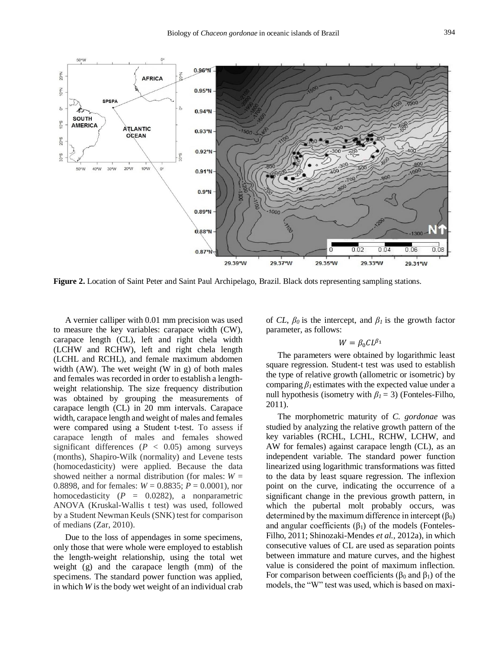

**Figure 2.** Location of Saint Peter and Saint Paul Archipelago, Brazil. Black dots representing sampling stations.

A vernier calliper with 0.01 mm precision was used to measure the key variables: carapace width (CW), carapace length (CL), left and right chela width (LCHW and RCHW), left and right chela length (LCHL and RCHL), and female maximum abdomen width (AW). The wet weight (W in g) of both males and females was recorded in order to establish a lengthweight relationship. The size frequency distribution was obtained by grouping the measurements of carapace length (CL) in 20 mm intervals. Carapace width, carapace length and weight of males and females were compared using a Student t-test. To assess if carapace length of males and females showed significant differences ( $P < 0.05$ ) among surveys (months), Shapiro-Wilk (normality) and Levene tests (homocedasticity) were applied. Because the data showed neither a normal distribution (for males:  $W =$ 0.8898, and for females: *W* = 0.8835; *P* = 0.0001), nor homocedasticity  $(P = 0.0282)$ , a nonparametric ANOVA (Kruskal-Wallis t test) was used, followed by a Student Newman Keuls(SNK) test for comparison of medians (Zar, 2010).

Due to the loss of appendages in some specimens, only those that were whole were employed to establish the length-weight relationship, using the total wet weight (g) and the carapace length (mm) of the specimens. The standard power function was applied, in which *W* is the body wet weight of an individual crab of *CL*,  $\beta_0$  is the intercept, and  $\beta_i$  is the growth factor parameter, as follows:

## $W = \beta_0 CL^{\beta_1}$

The parameters were obtained by logarithmic least square regression. Student-t test was used to establish the type of relative growth (allometric or isometric) by comparing  $\beta_l$  estimates with the expected value under a null hypothesis (isometry with  $\beta_1 = 3$ ) (Fonteles-Filho, 2011).

The morphometric maturity of *C. gordonae* was studied by analyzing the relative growth pattern of the key variables (RCHL, LCHL, RCHW, LCHW, and AW for females) against carapace length (CL), as an independent variable. The standard power function linearized using logarithmic transformations was fitted to the data by least square regression. The inflexion point on the curve, indicating the occurrence of a significant change in the previous growth pattern, in which the pubertal molt probably occurs, was determined by the maximum difference in intercept  $(\beta_0)$ and angular coefficients  $(\beta_1)$  of the models (Fonteles-Filho, 2011; Shinozaki-Mendes *et al.,* 2012a), in which consecutive values of CL are used as separation points between immature and mature curves, and the highest value is considered the point of maximum inflection. For comparison between coefficients ( $\beta_0$  and  $\beta_1$ ) of the models, the "W" test was used, which is based on maxi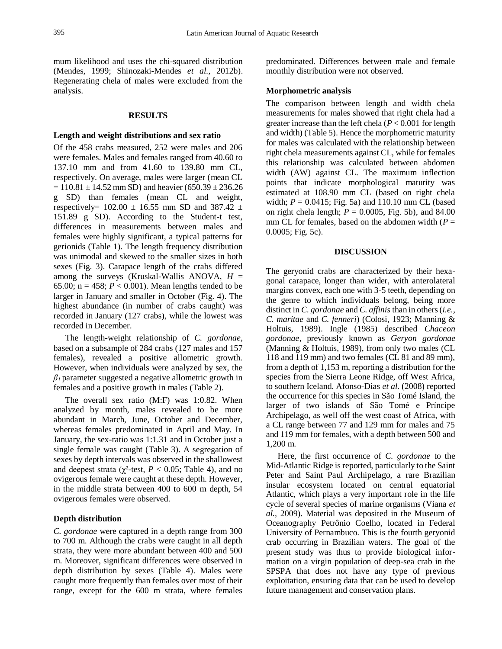mum likelihood and uses the chi-squared distribution (Mendes, 1999; Shinozaki-Mendes *et al.,* 2012b). Regenerating chela of males were excluded from the analysis.

#### **RESULTS**

#### **Length and weight distributions and sex ratio**

Of the 458 crabs measured, 252 were males and 206 were females. Males and females ranged from 40.60 to 137.10 mm and from 41.60 to 139.80 mm CL, respectively. On average, males were larger (mean CL  $= 110.81 \pm 14.52$  mm SD) and heavier (650.39  $\pm 236.26$ ) g SD) than females (mean CL and weight, respectively=  $102.00 \pm 16.55$  mm SD and 387.42  $\pm$ 151.89 g SD). According to the Student-t test, differences in measurements between males and females were highly significant, a typical patterns for gerionids (Table 1). The length frequency distribution was unimodal and skewed to the smaller sizes in both sexes (Fig. 3). Carapace length of the crabs differed among the surveys (Kruskal-Wallis ANOVA, *H* = 65.00;  $n = 458$ ;  $P < 0.001$ ). Mean lengths tended to be larger in January and smaller in October (Fig. 4). The highest abundance (in number of crabs caught) was recorded in January (127 crabs), while the lowest was recorded in December.

The length-weight relationship of *C. gordonae*, based on a subsample of 284 crabs (127 males and 157 females), revealed a positive allometric growth. However, when individuals were analyzed by sex, the  $\beta$ <sup>1</sup> parameter suggested a negative allometric growth in females and a positive growth in males (Table 2).

The overall sex ratio (M:F) was 1:0.82. When analyzed by month, males revealed to be more abundant in March, June, October and December, whereas females predominated in April and May. In January, the sex-ratio was 1:1.31 and in October just a single female was caught (Table 3). A segregation of sexes by depth intervals was observed in the shallowest and deepest strata ( $\chi^2$ -test,  $P < 0.05$ ; Table 4), and no ovigerous female were caught at these depth. However, in the middle strata between 400 to 600 m depth, 54 ovigerous females were observed.

### **Depth distribution**

*C. gordonae* were captured in a depth range from 300 to 700 m. Although the crabs were caught in all depth strata, they were more abundant between 400 and 500 m. Moreover, significant differences were observed in depth distribution by sexes (Table 4). Males were caught more frequently than females over most of their range, except for the 600 m strata, where females predominated. Differences between male and female monthly distribution were not observed.

#### **Morphometric analysis**

The comparison between length and width chela measurements for males showed that right chela had a greater increase than the left chela (*P* < 0.001 for length and width) (Table 5). Hence the morphometric maturity for males was calculated with the relationship between right chela measurements against CL, while for females this relationship was calculated between abdomen width (AW) against CL. The maximum inflection points that indicate morphological maturity was estimated at 108.90 mm CL (based on right chela width; *P* = 0.0415; Fig. 5a) and 110.10 mm CL (based on right chela length;  $P = 0.0005$ , Fig. 5b), and 84.00 mm CL for females, based on the abdomen width  $(P =$ 0.0005; Fig. 5c).

## **DISCUSSION**

The geryonid crabs are characterized by their hexagonal carapace, longer than wider, with anterolateral margins convex, each one with 3-5 teeth, depending on the genre to which individuals belong, being more distinct in *C. gordonae* and *C. affinis* than in others (*i.e., C. maritae* and *C. fenneri*) (Colosi, 1923; Manning & Holtuis, 1989). Ingle (1985) described *Chaceon gordonae,* previously known as *Geryon gordonae* (Manning & Holtuis, 1989), from only two males (CL 118 and 119 mm) and two females (CL 81 and 89 mm), from a depth of 1,153 m, reporting a distribution for the species from the Sierra Leone Ridge, off West Africa, to southern Iceland. Afonso-Dias *et al.* (2008) reported the occurrence for this species in São Tomé Island, the larger of two islands of São Tomé e Príncipe Archipelago, as well off the west coast of Africa, with a CL range between 77 and 129 mm for males and 75 and 119 mm for females, with a depth between 500 and 1,200 m.

Here, the first occurrence of *C. gordonae* to the Mid-Atlantic Ridge is reported, particularly to the Saint Peter and Saint Paul Archipelago, a rare Brazilian insular ecosystem located on central equatorial Atlantic, which plays a very important role in the life cycle of several species of marine organisms (Viana *et al.,* 2009). Material was deposited in the Museum of Oceanography Petrônio Coelho, located in Federal University of Pernambuco. This is the fourth geryonid crab occurring in Brazilian waters. The goal of the present study was thus to provide biological information on a virgin population of deep-sea crab in the SPSPA that does not have any type of previous exploitation, ensuring data that can be used to develop future management and conservation plans.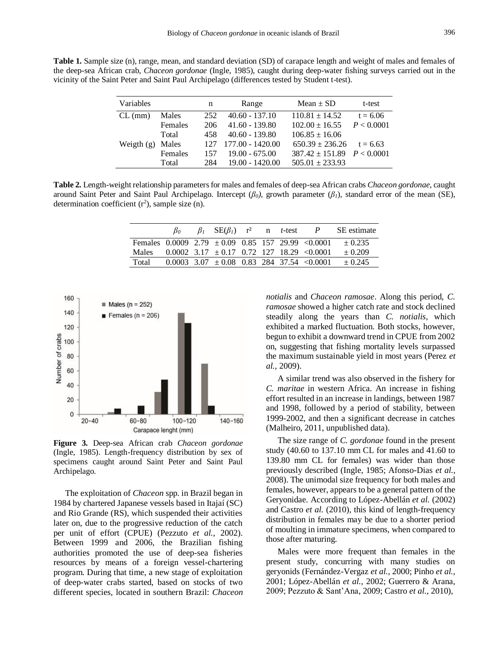**Table 1.** Sample size (n), range, mean, and standard deviation (SD) of carapace length and weight of males and females of the deep-sea African crab, *Chaceon gordonae* (Ingle, 1985), caught during deep-water fishing surveys carried out in the vicinity of the Saint Peter and Saint Paul Archipelago (differences tested by Student t-test).

| Variables    |         | n   | Range             | Mean $\pm$ SD                    | t-test     |
|--------------|---------|-----|-------------------|----------------------------------|------------|
| $CL$ (mm)    | Males   | 252 | $40.60 - 137.10$  | $110.81 \pm 14.52$               | $t = 6.06$ |
|              | Females | 206 | $41.60 - 139.80$  | $102.00 \pm 16.55$               | P < 0.0001 |
|              | Total   | 458 | $40.60 - 139.80$  | $106.85 \pm 16.06$               |            |
| Weigth $(g)$ | Males   | 127 | 177.00 - 1420.00  | $650.39 \pm 236.26$              | $t = 6.63$ |
|              | Females | 157 | $19.00 - 675.00$  | $387.42 \pm 151.89$ $P < 0.0001$ |            |
|              | Total   | 284 | $19.00 - 1420.00$ | $505.01 \pm 233.93$              |            |

**Table 2.** Length-weight relationship parameters for males and females of deep-sea African crabs *Chaceon gordonae*, caught around Saint Peter and Saint Paul Archipelago. Intercept  $(\beta_0)$ , growth parameter  $(\beta_1)$ , standard error of the mean (SE), determination coefficient  $(r^2)$ , sample size  $(n)$ .

|                                                            |  | $\beta_1$ SE( $\beta_1$ ) r <sup>2</sup> n <i>t</i> -test |  | $\boldsymbol{P}$                                 | SE estimate |
|------------------------------------------------------------|--|-----------------------------------------------------------|--|--------------------------------------------------|-------------|
| Females $0.0009$ $2.79 \pm 0.09$ $0.85$ 157 29.99 < 0.0001 |  |                                                           |  |                                                  | $+0.235$    |
| <b>Males</b>                                               |  |                                                           |  | $0.0002$ 3.17 $\pm 0.17$ 0.72 127 18.29 < 0.0001 | $+0.209$    |
| Total                                                      |  |                                                           |  | $0.0003$ 3.07 $\pm$ 0.08 0.83 284 37.54 < 0.0001 | $\pm 0.245$ |



**Figure 3.** Deep-sea African crab *Chaceon gordonae*  (Ingle, 1985). Length-frequency distribution by sex of specimens caught around Saint Peter and Saint Paul Archipelago.

The exploitation of *Chaceon* spp. in Brazil began in 1984 by chartered Japanese vessels based in Itajaí (SC) and Rio Grande (RS), which suspended their activities later on, due to the progressive reduction of the catch per unit of effort (CPUE) (Pezzuto *et al.,* 2002). Between 1999 and 2006, the Brazilian fishing authorities promoted the use of deep-sea fisheries resources by means of a foreign vessel-chartering program. During that time, a new stage of exploitation of deep-water crabs started, based on stocks of two different species, located in southern Brazil: *Chaceon*  *notialis* and *Chaceon ramosae*. Along this period, *C. ramosae* showed a higher catch rate and stock declined steadily along the years than *C. notialis*, which exhibited a marked fluctuation. Both stocks, however, begun to exhibit a downward trend in CPUE from 2002 on, suggesting that fishing mortality levels surpassed the maximum sustainable yield in most years (Perez *et al.,* 2009).

A similar trend was also observed in the fishery for *C. maritae* in western Africa. An increase in fishing effort resulted in an increase in landings, between 1987 and 1998, followed by a period of stability, between 1999-2002, and then a significant decrease in catches (Malheiro, 2011, unpublished data).

The size range of *C. gordonae* found in the present study (40.60 to 137.10 mm CL for males and 41.60 to 139.80 mm CL for females) was wider than those previously described (Ingle, 1985; Afonso-Dias *et al.,* 2008). The unimodal size frequency for both males and females, however, appears to be a general pattern of the Geryonidae. According to López-Abellán *et al.* (2002) and Castro *et al.* (2010), this kind of length-frequency distribution in females may be due to a shorter period of moulting in immature specimens, when compared to those after maturing.

Males were more frequent than females in the present study, concurring with many studies on geryonids (Fernández-Vergaz *et al.,* 2000; Pinho *et al.,* 2001; López-Abellán *et al.,* 2002; Guerrero & Arana, 2009; Pezzuto & Sant'Ana, 2009; Castro *et al.,* 2010),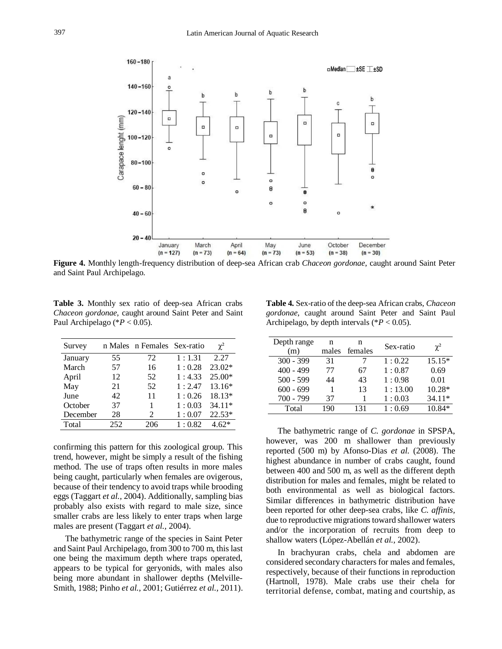

**Figure 4.** Monthly length-frequency distribution of deep-sea African crab *Chaceon gordonae*, caught around Saint Peter and Saint Paul Archipelago.

**Table 3.** Monthly sex ratio of deep-sea African crabs *Chaceon gordonae*, caught around Saint Peter and Saint Paul Archipelago (\**P* < 0.05).

| Survey   |     | n Males n Females Sex-ratio |        | $\chi^2$ |
|----------|-----|-----------------------------|--------|----------|
| January  | 55  | 72                          | 1:1.31 | 2.27     |
| March    | 57  | 16                          | 1:0.28 | 23.02*   |
| April    | 12  | 52                          | 1:4.33 | 25.00*   |
| May      | 21  | 52                          | 1:2.47 | 13.16*   |
| June     | 42  | 11                          | 1:0.26 | 18.13*   |
| October  | 37  | 1                           | 1:0.03 | 34.11*   |
| December | 28  | 2                           | 1:0.07 | $22.53*$ |
| Total    | 252 | 206                         | 1:0.82 | $4.62*$  |

confirming this pattern for this zoological group. This trend, however, might be simply a result of the fishing method. The use of traps often results in more males being caught, particularly when females are ovigerous, because of their tendency to avoid traps while brooding eggs (Taggart *et al.,* 2004). Additionally, sampling bias probably also exists with regard to male size, since smaller crabs are less likely to enter traps when large males are present (Taggart *et al.,* 2004).

The bathymetric range of the species in Saint Peter and Saint Paul Archipelago, from 300 to 700 m, this last one being the maximum depth where traps operated, appears to be typical for geryonids, with males also being more abundant in shallower depths (Melville-Smith, 1988; Pinho *et al.,* 2001; Gutiérrez *et al.,* 2011).

**Table 4.** Sex-ratio of the deep-sea African crabs, *Chaceon gordonae*, caught around Saint Peter and Saint Paul Archipelago, by depth intervals (\**P* < 0.05).

| Depth range | n     | n       | Sex-ratio |          |
|-------------|-------|---------|-----------|----------|
| (m)         | males | females |           | $\chi^2$ |
| $300 - 399$ | 31    |         | 1:0.22    | $15.15*$ |
| $400 - 499$ | 77    | 67      | 1:0.87    | 0.69     |
| $500 - 599$ | 44    | 43      | 1:0.98    | 0.01     |
| $600 - 699$ |       | 13      | 1:13.00   | 10.28*   |
| $700 - 799$ | 37    |         | 1:0.03    | $34.11*$ |
| Total       | 190   | 131     | 1:0.69    | $10.84*$ |

The bathymetric range of *C. gordonae* in SPSPA, however, was 200 m shallower than previously reported (500 m) by Afonso-Dias *et al.* (2008). The highest abundance in number of crabs caught, found between 400 and 500 m, as well as the different depth distribution for males and females, might be related to both environmental as well as biological factors. Similar differences in bathymetric distribution have been reported for other deep-sea crabs, like *C. affinis,*  due to reproductive migrations toward shallower waters and/or the incorporation of recruits from deep to shallow waters (López-Abellán *et al.,* 2002).

In brachyuran crabs, chela and abdomen are considered secondary characters for males and females, respectively, because of their functions in reproduction (Hartnoll, 1978). Male crabs use their chela for territorial defense, combat, mating and courtship, as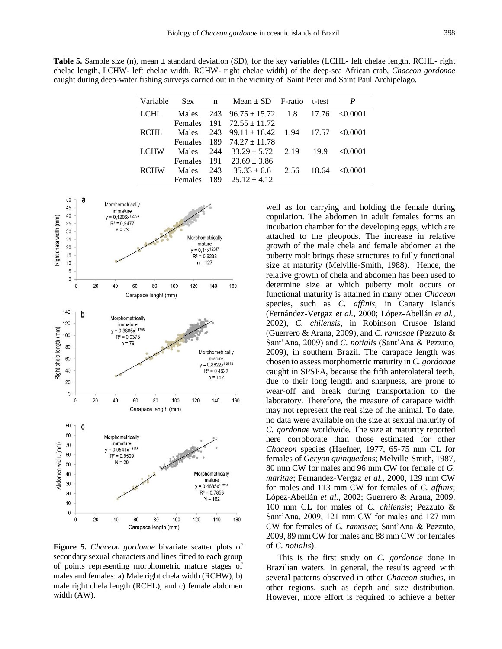**Table 5.** Sample size (n), mean ± standard deviation (SD), for the key variables (LCHL- left chelae length, RCHL- right chelae length, LCHW- left chelae width, RCHW- right chelae width) of the deep-sea African crab, *Chaceon gordonae*  caught during deep-water fishing surveys carried out in the vicinity of Saint Peter and Saint Paul Archipelago.

| Variable    | Sex n          |     | Mean $\pm$ SD F-ratio t-test        |            |       | P             |
|-------------|----------------|-----|-------------------------------------|------------|-------|---------------|
| LCHL        | Males          |     | 243 $96.75 \pm 15.72$ 1.8           |            | 17.76 | < 0.0001      |
|             |                |     | Females $191 \quad 72.55 \pm 11.72$ |            |       |               |
| RCHL        | Males          |     | 243 99.11 $\pm$ 16.42               | 1.94 17.57 |       | $\leq 0.0001$ |
|             |                |     | Females $189$ $74.27 \pm 11.78$     |            |       |               |
| LCHW        | Males          |     | $244 \quad 33.29 \pm 5.72$          | 2.19       | 19.9  | $\leq 0.0001$ |
|             | Females        |     | $191 \quad 23.69 \pm 3.86$          |            |       |               |
| <b>RCHW</b> | Males          | 243 | $35.33 \pm 6.6$                     | 2.56       | 18.64 | < 0.0001      |
|             | <b>Females</b> | 189 | $25.12 \pm 4.12$                    |            |       |               |



**Figure 5.** *Chaceon gordonae* bivariate scatter plots of secondary sexual characters and lines fitted to each group of points representing morphometric mature stages of males and females: a) Male right chela width (RCHW), b) male right chela length (RCHL), and c) female abdomen width (AW).

well as for carrying and holding the female during copulation. The abdomen in adult females forms an incubation chamber for the developing eggs, which are attached to the pleopods. The increase in relative growth of the male chela and female abdomen at the puberty molt brings these structures to fully functional size at maturity (Melville-Smith, 1988). Hence, the relative growth of chela and abdomen has been used to determine size at which puberty molt occurs or functional maturity is attained in many other *Chaceon* species, such as *C. affinis*, in Canary Islands (Fernández-Vergaz *et al.,* 2000; López-Abellán *et al.,*  2002), *C. chilensis*, in Robinson Crusoe Island (Guerrero & Arana, 2009), and *C. ramosae* (Pezzuto & Sant'Ana, 2009) and *C. notialis* (Sant'Ana & Pezzuto, 2009), in southern Brazil. The carapace length was chosen to assess morphometric maturity in *C. gordonae*  caught in SPSPA, because the fifth anterolateral teeth, due to their long length and sharpness, are prone to wear-off and break during transportation to the laboratory. Therefore, the measure of carapace width may not represent the real size of the animal. To date, no data were available on the size at sexual maturity of *C. gordonae* worldwide*.* The size at maturity reported here corroborate than those estimated for other *Chaceon* species (Haefner, 1977, 65-75 mm CL for females of *Geryon quinquedens*; Melville-Smith, 1987, 80 mm CW for males and 96 mm CW for female of *G. maritae*; Fernandez-Vergaz *et al.,* 2000, 129 mm CW for males and 113 mm CW for females of *C. affinis*; López-Abellán *et al.,* 2002; Guerrero & Arana, 2009, 100 mm CL for males of *C. chilensis*; Pezzuto & Sant'Ana, 2009, 121 mm CW for males and 127 mm CW for females of *C. ramosae*; Sant'Ana & Pezzuto, 2009, 89 mm CW for males and 88 mm CW for females of *C. notialis*).

This is the first study on *C. gordonae* done in Brazilian waters. In general, the results agreed with several patterns observed in other *Chaceon* studies, in other regions, such as depth and size distribution. However, more effort is required to achieve a better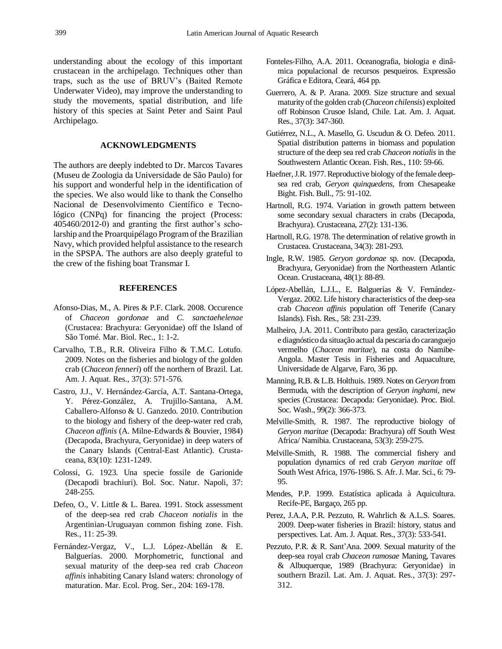understanding about the ecology of this important crustacean in the archipelago. Techniques other than traps, such as the use of BRUV's (Baited Remote Underwater Video), may improve the understanding to study the movements, spatial distribution, and life history of this species at Saint Peter and Saint Paul Archipelago.

## **ACKNOWLEDGMENTS**

The authors are deeply indebted to Dr. Marcos Tavares (Museu de Zoologia da Universidade de São Paulo) for his support and wonderful help in the identification of the species. We also would like to thank the Conselho Nacional de Desenvolvimento Científico e Tecnológico (CNPq) for financing the project (Process: 405460/2012-0) and granting the first author's scholarship and the Proarquipélago Program of the Brazilian Navy, which provided helpful assistance to the research in the SPSPA. The authors are also deeply grateful to the crew of the fishing boat Transmar I.

### **REFERENCES**

- Afonso-Dias, M., A. Pires & P.F. Clark. 2008. Occurence of *Chaceon gordonae* and *C. sanctaehelenae*  (Crustacea: Brachyura: Geryonidae) off the Island of São Tomé. Mar. Biol. Rec., 1: 1-2.
- Carvalho, T.B., R.R. Oliveira Filho & T.M.C. Lotufo. 2009. Notes on the fisheries and biology of the golden crab (*Chaceon fenneri*) off the northern of Brazil. Lat. Am. J. Aquat. Res., 37(3): 571-576.
- Castro, J.J., V. Hernández-García, A.T. Santana-Ortega, Y. Pérez-González, A. Trujillo-Santana, A.M. Caballero-Alfonso & U. Ganzedo. 2010. Contribution to the biology and fishery of the deep-water red crab, *Chaceon affinis* (A. Milne-Edwards & Bouvier, 1984) (Decapoda, Brachyura, Geryonidae) in deep waters of the Canary Islands (Central-East Atlantic). Crustaceana, 83(10): 1231-1249.
- Colossi, G. 1923. Una specie fossile de Garionide (Decapodi brachiuri). Bol. Soc. Natur. Napoli, 37: 248-255.
- Defeo, O., V. Little & L. Barea. 1991. Stock assessment of the deep-sea red crab *Chaceon notialis* in the Argentinian-Uruguayan common fishing zone. Fish. Res., 11: 25-39.
- Fernández-Vergaz, V., L.J. López-Abellán & E. Balguerías. 2000. Morphometric, functional and sexual maturity of the deep-sea red crab *Chaceon affinis* inhabiting Canary Island waters: chronology of maturation. Mar. Ecol. Prog. Ser., 204: 169-178.
- Fonteles-Filho, A.A. 2011. Oceanografia, biologia e dinâmica populacional de recursos pesqueiros. Expressão Gráfica e Editora, Ceará, 464 pp.
- Guerrero, A. & P. Arana. 2009. Size structure and sexual maturity of the golden crab (*Chaceon chilensis*) exploited off Robinson Crusoe Island, Chile. Lat. Am. J. Aquat. Res., 37(3): 347-360.
- Gutiérrez, N.L., A. Masello, G. Uscudun & O. Defeo. 2011. Spatial distribution patterns in biomass and population structure of the deep sea red crab *Chaceon notialis* in the Southwestern Atlantic Ocean. Fish. Res., 110: 59-66.
- Haefner,J.R. 1977. Reproductive biology of the female deepsea red crab, *Geryon quinquedens*, from Chesapeake Bight. Fish. Bull., 75: 91-102.
- Hartnoll, R.G. 1974. Variation in growth pattern between some secondary sexual characters in crabs (Decapoda, Brachyura). Crustaceana, 27(2): 131-136.
- Hartnoll, R.G. 1978. The determination of relative growth in Crustacea. Crustaceana, 34(3): 281-293.
- Ingle, R.W. 1985. *Geryon gordonae* sp. nov. (Decapoda, Brachyura, Geryonidae) from the Northeastern Atlantic Ocean. Crustaceana, 48(1): 88-89.
- López-Abellán, L.J.L., E. Balguerías & V. Fernández-Vergaz. 2002. Life history characteristics of the deep-sea crab *Chaceon affinis* population off Tenerife (Canary Islands). Fish. Res., 58: 231-239.
- Malheiro, J.A. 2011. Contributo para gestão, caracterização e diagnóstico da situação actual da pescaria do caranguejo vermelho (*Chaceon maritae*), na costa do Namibe-Angola. Master Tesis in Fisheries and Aquaculture, Universidade de Algarve, Faro, 36 pp.
- Manning, R.B. & L.B. Holthuis. 1989. Notes on *Geryon* from Bermuda, with the description of *Geryon inghami,* new species (Crustacea: Decapoda: Geryonidae). Proc. Biol. Soc. Wash., 99(2): 366-373.
- Melville-Smith, R. 1987. The reproductive biology of *Geryon maritae* (Decapoda: Brachyura) off South West Africa/ Namibia. Crustaceana, 53(3): 259-275.
- Melville-Smith, R. 1988. The commercial fishery and population dynamics of red crab *Geryon maritae* off South West Africa, 1976-1986. S. Afr. J. Mar. Sci., 6: 79- 95.
- Mendes, P.P. 1999. Estatística aplicada à Aquicultura. Recife-PE, Bargaço, 265 pp.
- Perez, J.A.A, P.R. Pezzuto, R. Wahrlich & A.L.S. Soares. 2009. Deep-water fisheries in Brazil: history, status and perspectives. Lat. Am. J. Aquat. Res., 37(3): 533-541.
- Pezzuto, P.R. & R. Sant'Ana. 2009. Sexual maturity of the deep-sea royal crab *Chaceon ramosae* Maning, Tavares & Albuquerque, 1989 (Brachyura: Geryonidae) in southern Brazil. Lat. Am. J. Aquat. Res., 37(3): 297- 312.